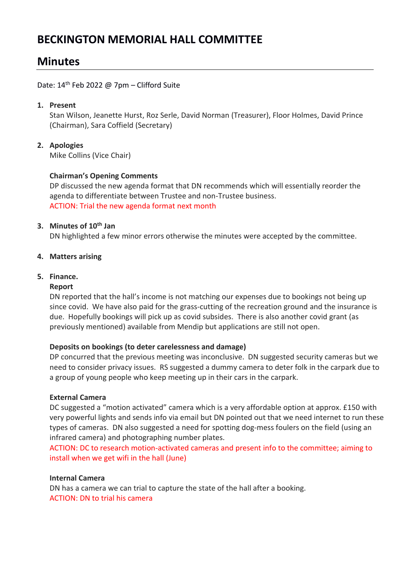# **BECKINGTON MEMORIAL HALL COMMITTEE**

# **Minutes**

Date:  $14<sup>th</sup>$  Feb 2022 @ 7pm – Clifford Suite

# **1. Present**

Stan Wilson, Jeanette Hurst, Roz Serle, David Norman (Treasurer), Floor Holmes, David Prince (Chairman), Sara Coffield (Secretary)

# **2. Apologies**

Mike Collins (Vice Chair)

# **Chairman's Opening Comments**

DP discussed the new agenda format that DN recommends which will essentially reorder the agenda to differentiate between Trustee and non-Trustee business. ACTION: Trial the new agenda format next month

# **3. Minutes of 10th Jan**

DN highlighted a few minor errors otherwise the minutes were accepted by the committee.

# **4. Matters arising**

# **5. Finance.**

#### **Report**

DN reported that the hall's income is not matching our expenses due to bookings not being up since covid. We have also paid for the grass-cutting of the recreation ground and the insurance is due. Hopefully bookings will pick up as covid subsides. There is also another covid grant (as previously mentioned) available from Mendip but applications are still not open.

#### **Deposits on bookings (to deter carelessness and damage)**

DP concurred that the previous meeting was inconclusive. DN suggested security cameras but we need to consider privacy issues. RS suggested a dummy camera to deter folk in the carpark due to a group of young people who keep meeting up in their cars in the carpark.

#### **External Camera**

DC suggested a "motion activated" camera which is a very affordable option at approx. £150 with very powerful lights and sends info via email but DN pointed out that we need internet to run these types of cameras. DN also suggested a need for spotting dog-mess foulers on the field (using an infrared camera) and photographing number plates.

ACTION: DC to research motion-activated cameras and present info to the committee; aiming to install when we get wifi in the hall (June)

#### **Internal Camera**

DN has a camera we can trial to capture the state of the hall after a booking. ACTION: DN to trial his camera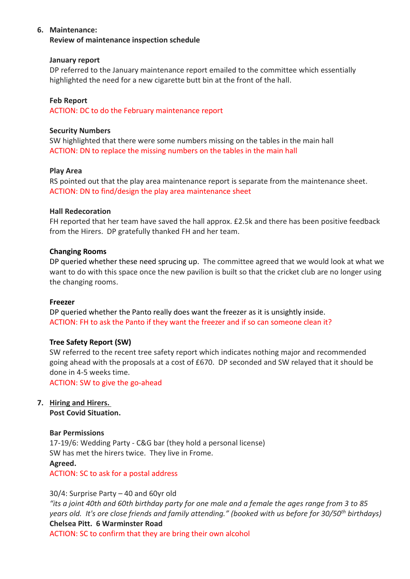### **6. Maintenance:**

**Review of maintenance inspection schedule**

#### **January report**

DP referred to the January maintenance report emailed to the committee which essentially highlighted the need for a new cigarette butt bin at the front of the hall.

### **Feb Report**

ACTION: DC to do the February maintenance report

#### **Security Numbers**

SW highlighted that there were some numbers missing on the tables in the main hall ACTION: DN to replace the missing numbers on the tables in the main hall

#### **Play Area**

RS pointed out that the play area maintenance report is separate from the maintenance sheet. ACTION: DN to find/design the play area maintenance sheet

#### **Hall Redecoration**

FH reported that her team have saved the hall approx. £2.5k and there has been positive feedback from the Hirers. DP gratefully thanked FH and her team.

#### **Changing Rooms**

DP queried whether these need sprucing up. The committee agreed that we would look at what we want to do with this space once the new pavilion is built so that the cricket club are no longer using the changing rooms.

#### **Freezer**

DP queried whether the Panto really does want the freezer as it is unsightly inside. ACTION: FH to ask the Panto if they want the freezer and if so can someone clean it?

#### **Tree Safety Report (SW)**

SW referred to the recent tree safety report which indicates nothing major and recommended going ahead with the proposals at a cost of £670. DP seconded and SW relayed that it should be done in 4-5 weeks time.

ACTION: SW to give the go-ahead

# **7. Hiring and Hirers.**

**Post Covid Situation.** 

#### **Bar Permissions**

17-19/6: Wedding Party - C&G bar (they hold a personal license) SW has met the hirers twice. They live in Frome. **Agreed.**  ACTION: SC to ask for a postal address

#### 30/4: Surprise Party – 40 and 60yr old

*"its a joint 40th and 60th birthday party for one male and a female the ages range from 3 to 85 years old. It's ore close friends and family attending." (booked with us before for 30/50th birthdays)* **Chelsea Pitt. 6 Warminster Road**

ACTION: SC to confirm that they are bring their own alcohol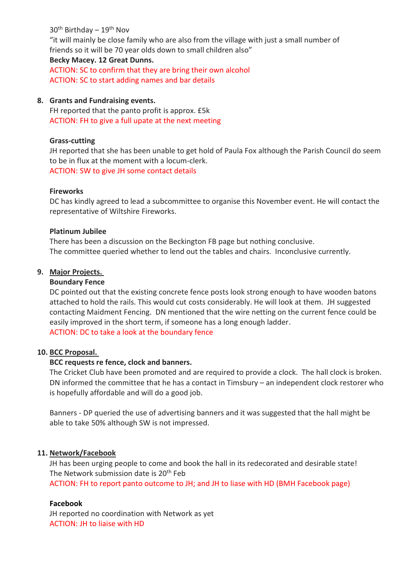$30<sup>th</sup>$  Birthday –  $19<sup>th</sup>$  Nov "it will mainly be close family who are also from the village with just a small number of friends so it will be 70 year olds down to small children also" **Becky Macey. 12 Great Dunns.** ACTION: SC to confirm that they are bring their own alcohol

# ACTION: SC to start adding names and bar details

### **8. Grants and Fundraising events.**

FH reported that the panto profit is approx. £5k ACTION: FH to give a full upate at the next meeting

### **Grass-cutting**

JH reported that she has been unable to get hold of Paula Fox although the Parish Council do seem to be in flux at the moment with a locum-clerk. ACTION: SW to give JH some contact details

#### **Fireworks**

DC has kindly agreed to lead a subcommittee to organise this November event. He will contact the representative of Wiltshire Fireworks.

#### **Platinum Jubilee**

There has been a discussion on the Beckington FB page but nothing conclusive. The committee queried whether to lend out the tables and chairs. Inconclusive currently.

# **9. Major Projects.**

# **Boundary Fence**

DC pointed out that the existing concrete fence posts look strong enough to have wooden batons attached to hold the rails. This would cut costs considerably. He will look at them. JH suggested contacting Maidment Fencing. DN mentioned that the wire netting on the current fence could be easily improved in the short term, if someone has a long enough ladder. ACTION: DC to take a look at the boundary fence

# **10. BCC Proposal.**

# **BCC requests re fence, clock and banners.**

The Cricket Club have been promoted and are required to provide a clock. The hall clock is broken. DN informed the committee that he has a contact in Timsbury – an independent clock restorer who is hopefully affordable and will do a good job.

Banners - DP queried the use of advertising banners and it was suggested that the hall might be able to take 50% although SW is not impressed.

#### **11. Network/Facebook**

JH has been urging people to come and book the hall in its redecorated and desirable state! The Network submission date is 20<sup>th</sup> Feb

ACTION: FH to report panto outcome to JH; and JH to liase with HD (BMH Facebook page)

#### **Facebook**

JH reported no coordination with Network as yet ACTION: JH to liaise with HD